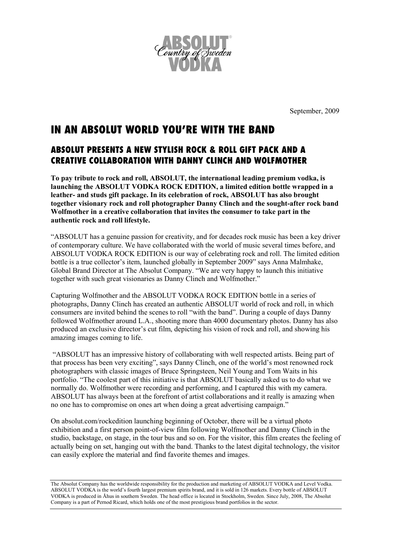

September, 2009

## IN AN ABSOLUT WORLD YOU'RE WITH THE BAND

## ABSOLUT PRESENTS A NEW STYLISH ROCK & ROLL GIFT PACK AND A CREATIVE COLLABORATION WITH DANNY CLINCH AND WOLFMOTHER

**To pay tribute to rock and roll, ABSOLUT, the international leading premium vodka, is launching the ABSOLUT VODKA ROCK EDITION, a limited edition bottle wrapped in a leather- and studs gift package. In its celebration of rock, ABSOLUT has also brought together visionary rock and roll photographer Danny Clinch and the sought-after rock band Wolfmother in a creative collaboration that invites the consumer to take part in the authentic rock and roll lifestyle.** 

"ABSOLUT has a genuine passion for creativity, and for decades rock music has been a key driver of contemporary culture. We have collaborated with the world of music several times before, and ABSOLUT VODKA ROCK EDITION is our way of celebrating rock and roll. The limited edition bottle is a true collector's item, launched globally in September 2009" says Anna Malmhake, Global Brand Director at The Absolut Company. "We are very happy to launch this initiative together with such great visionaries as Danny Clinch and Wolfmother."

Capturing Wolfmother and the ABSOLUT VODKA ROCK EDITION bottle in a series of photographs, Danny Clinch has created an authentic ABSOLUT world of rock and roll, in which consumers are invited behind the scenes to roll "with the band". During a couple of days Danny followed Wolfmother around L.A., shooting more than 4000 documentary photos. Danny has also produced an exclusive director's cut film, depicting his vision of rock and roll, and showing his amazing images coming to life.

"ABSOLUT has an impressive history of collaborating with well respected artists. Being part of that process has been very exciting", says Danny Clinch, one of the world's most renowned rock photographers with classic images of Bruce Springsteen, Neil Young and Tom Waits in his portfolio. "The coolest part of this initiative is that ABSOLUT basically asked us to do what we normally do. Wolfmother were recording and performing, and I captured this with my camera. ABSOLUT has always been at the forefront of artist collaborations and it really is amazing when no one has to compromise on ones art when doing a great advertising campaign."

On absolut.com/rockedition launching beginning of October, there will be a virtual photo exhibition and a first person point-of-view film following Wolfmother and Danny Clinch in the studio, backstage, on stage, in the tour bus and so on. For the visitor, this film creates the feeling of actually being on set, hanging out with the band. Thanks to the latest digital technology, the visitor can easily explore the material and find favorite themes and images.

The Absolut Company has the worldwide responsibility for the production and marketing of ABSOLUT VODKA and Level Vodka. ABSOLUT VODKA is the world's fourth largest premium spirits brand, and it is sold in 126 markets. Every bottle of ABSOLUT VODKA is produced in Åhus in southern Sweden. The head office is located in Stockholm, Sweden. Since July, 2008, The Absolut Company is a part of Pernod Ricard, which holds one of the most prestigious brand portfolios in the sector.